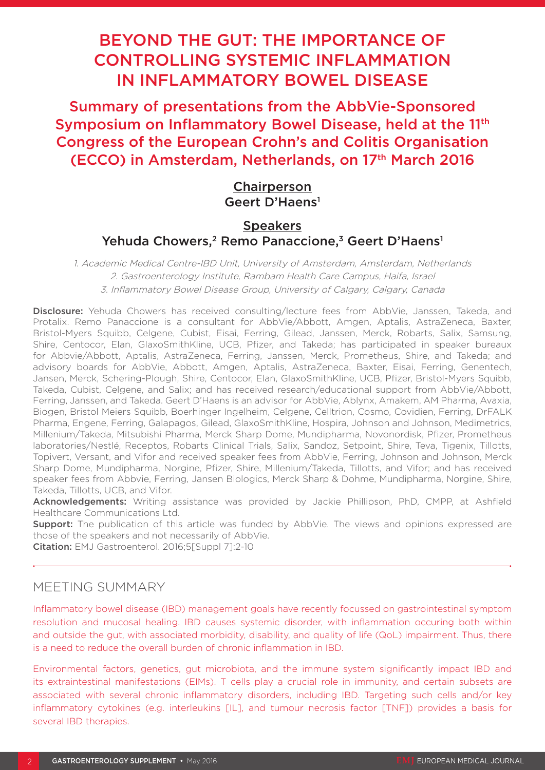# BEYOND THE GUT: THE IMPORTANCE OF CONTROLLING SYSTEMIC INFLAMMATION IN INFLAMMATORY BOWEL DISEASE

Summary of presentations from the AbbVie-Sponsored Symposium on Inflammatory Bowel Disease, held at the 11<sup>th</sup> Congress of the European Crohn's and Colitis Organisation (ECCO) in Amsterdam, Netherlands, on 17<sup>th</sup> March 2016

## **Chairperson** Geert D'Haens1

## **Speakers** Yehuda Chowers,<sup>2</sup> Remo Panaccione,<sup>3</sup> Geert D'Haens<sup>1</sup>

1. Academic Medical Centre-IBD Unit, University of Amsterdam, Amsterdam, Netherlands 2. Gastroenterology Institute, Rambam Health Care Campus, Haifa, Israel 3. Inflammatory Bowel Disease Group, University of Calgary, Calgary, Canada

Disclosure: Yehuda Chowers has received consulting/lecture fees from AbbVie, Janssen, Takeda, and Protalix. Remo Panaccione is a consultant for AbbVie/Abbott, Amgen, Aptalis, AstraZeneca, Baxter, Bristol-Myers Squibb, Celgene, Cubist, Eisai, Ferring, Gilead, Janssen, Merck, Robarts, Salix, Samsung, Shire, Centocor, Elan, GlaxoSmithKline, UCB, Pfizer, and Takeda; has participated in speaker bureaux for Abbvie/Abbott, Aptalis, AstraZeneca, Ferring, Janssen, Merck, Prometheus, Shire, and Takeda; and advisory boards for AbbVie, Abbott, Amgen, Aptalis, AstraZeneca, Baxter, Eisai, Ferring, Genentech, Jansen, Merck, Schering-Plough, Shire, Centocor, Elan, GlaxoSmithKline, UCB, Pfizer, Bristol-Myers Squibb, Takeda, Cubist, Celgene, and Salix; and has received research/educational support from AbbVie/Abbott, Ferring, Janssen, and Takeda. Geert D'Haens is an advisor for AbbVie, Ablynx, Amakem, AM Pharma, Avaxia, Biogen, Bristol Meiers Squibb, Boerhinger Ingelheim, Celgene, Celltrion, Cosmo, Covidien, Ferring, DrFALK Pharma, Engene, Ferring, Galapagos, Gilead, GlaxoSmithKline, Hospira, Johnson and Johnson, Medimetrics, Millenium/Takeda, Mitsubishi Pharma, Merck Sharp Dome, Mundipharma, Novonordisk, Pfizer, Prometheus laboratories/Nestlé, Receptos, Robarts Clinical Trials, Salix, Sandoz, Setpoint, Shire, Teva, Tigenix, Tillotts, Topivert, Versant, and Vifor and received speaker fees from AbbVie, Ferring, Johnson and Johnson, Merck Sharp Dome, Mundipharma, Norgine, Pfizer, Shire, Millenium/Takeda, Tillotts, and Vifor; and has received speaker fees from Abbvie, Ferring, Jansen Biologics, Merck Sharp & Dohme, Mundipharma, Norgine, Shire, Takeda, Tillotts, UCB, and Vifor.

Acknowledgements: Writing assistance was provided by Jackie Phillipson, PhD, CMPP, at Ashfield Healthcare Communications Ltd.

**Support:** The publication of this article was funded by AbbVie. The views and opinions expressed are those of the speakers and not necessarily of AbbVie.

Citation: EMJ Gastroenterol. 2016;5[Suppl 7]:2-10

# MEETING SUMMARY

Inflammatory bowel disease (IBD) management goals have recently focussed on gastrointestinal symptom resolution and mucosal healing. IBD causes systemic disorder, with inflammation occuring both within and outside the gut, with associated morbidity, disability, and quality of life (QoL) impairment. Thus, there is a need to reduce the overall burden of chronic inflammation in IBD.

Environmental factors, genetics, gut microbiota, and the immune system significantly impact IBD and its extraintestinal manifestations (EIMs). T cells play a crucial role in immunity, and certain subsets are associated with several chronic inflammatory disorders, including IBD. Targeting such cells and/or key inflammatory cytokines (e.g. interleukins [IL], and tumour necrosis factor [TNF]) provides a basis for several IBD therapies.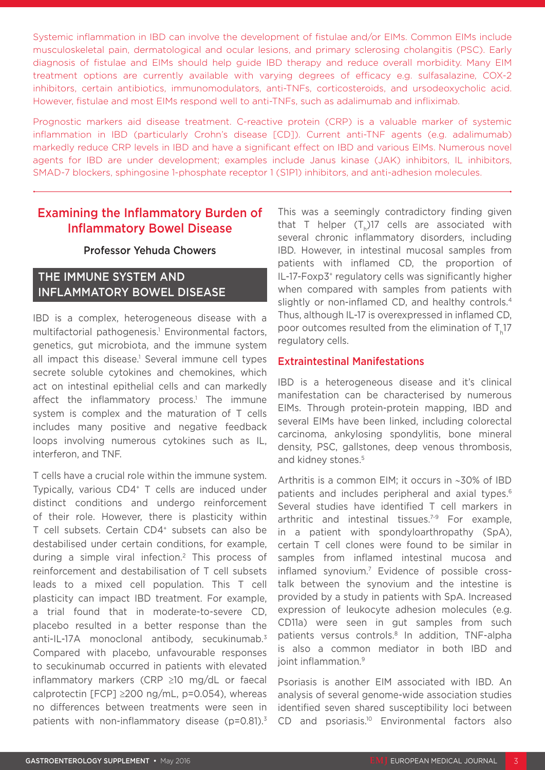Systemic inflammation in IBD can involve the development of fistulae and/or EIMs. Common EIMs include musculoskeletal pain, dermatological and ocular lesions, and primary sclerosing cholangitis (PSC). Early diagnosis of fistulae and EIMs should help guide IBD therapy and reduce overall morbidity. Many EIM treatment options are currently available with varying degrees of efficacy e.g. sulfasalazine, COX-2 inhibitors, certain antibiotics, immunomodulators, anti-TNFs, corticosteroids, and ursodeoxycholic acid. However, fistulae and most EIMs respond well to anti-TNFs, such as adalimumab and infliximab.

Prognostic markers aid disease treatment. C-reactive protein (CRP) is a valuable marker of systemic inflammation in IBD (particularly Crohn's disease [CD]). Current anti-TNF agents (e.g. adalimumab) markedly reduce CRP levels in IBD and have a significant effect on IBD and various EIMs. Numerous novel agents for IBD are under development; examples include Janus kinase (JAK) inhibitors, IL inhibitors, SMAD-7 blockers, sphingosine 1-phosphate receptor 1 (S1P1) inhibitors, and anti-adhesion molecules.

## Examining the Inflammatory Burden of Inflammatory Bowel Disease

#### Professor Yehuda Chowers

### THE IMMUNE SYSTEM AND INFLAMMATORY BOWEL DISEASE

IBD is a complex, heterogeneous disease with a multifactorial pathogenesis.<sup>1</sup> Environmental factors, genetics, gut microbiota, and the immune system all impact this disease.<sup>1</sup> Several immune cell types secrete soluble cytokines and chemokines, which act on intestinal epithelial cells and can markedly affect the inflammatory process.<sup>1</sup> The immune system is complex and the maturation of T cells includes many positive and negative feedback loops involving numerous cytokines such as IL, interferon, and TNF.

T cells have a crucial role within the immune system. Typically, various CD4<sup>+</sup> T cells are induced under distinct conditions and undergo reinforcement of their role. However, there is plasticity within T cell subsets. Certain CD4<sup>+</sup> subsets can also be destabilised under certain conditions, for example, during a simple viral infection.2 This process of reinforcement and destabilisation of T cell subsets leads to a mixed cell population. This T cell plasticity can impact IBD treatment. For example, a trial found that in moderate-to-severe CD, placebo resulted in a better response than the anti-IL-17A monoclonal antibody, secukinumab.3 Compared with placebo, unfavourable responses to secukinumab occurred in patients with elevated inflammatory markers (CRP ≥10 mg/dL or faecal calprotectin [FCP] ≥200 ng/mL, p=0.054), whereas no differences between treatments were seen in patients with non-inflammatory disease ( $p=0.81$ ).<sup>3</sup>

This was a seemingly contradictory finding given that T helper  $(T_h)$ 17 cells are associated with several chronic inflammatory disorders, including IBD. However, in intestinal mucosal samples from patients with inflamed CD, the proportion of IL-17-Foxp3<sup>+</sup> regulatory cells was significantly higher when compared with samples from patients with slightly or non-inflamed CD, and healthy controls.<sup>4</sup> Thus, although IL-17 is overexpressed in inflamed CD, poor outcomes resulted from the elimination of  $T_{1}17$ regulatory cells.

#### Extraintestinal Manifestations

IBD is a heterogeneous disease and it's clinical manifestation can be characterised by numerous EIMs. Through protein-protein mapping, IBD and several EIMs have been linked, including colorectal carcinoma, ankylosing spondylitis, bone mineral density, PSC, gallstones, deep venous thrombosis, and kidney stones.<sup>5</sup>

Arthritis is a common EIM; it occurs in ∼30% of IBD patients and includes peripheral and axial types.<sup>6</sup> Several studies have identified T cell markers in arthritic and intestinal tissues.<sup>7-9</sup> For example, in a patient with spondyloarthropathy (SpA), certain T cell clones were found to be similar in samples from inflamed intestinal mucosa and inflamed synovium.7 Evidence of possible crosstalk between the synovium and the intestine is provided by a study in patients with SpA. Increased expression of leukocyte adhesion molecules (e.g. CD11a) were seen in gut samples from such patients versus controls.<sup>8</sup> In addition, TNF-alpha is also a common mediator in both IBD and joint inflammation.<sup>9</sup>

Psoriasis is another EIM associated with IBD. An analysis of several genome-wide association studies identified seven shared susceptibility loci between CD and psoriasis.<sup>10</sup> Environmental factors also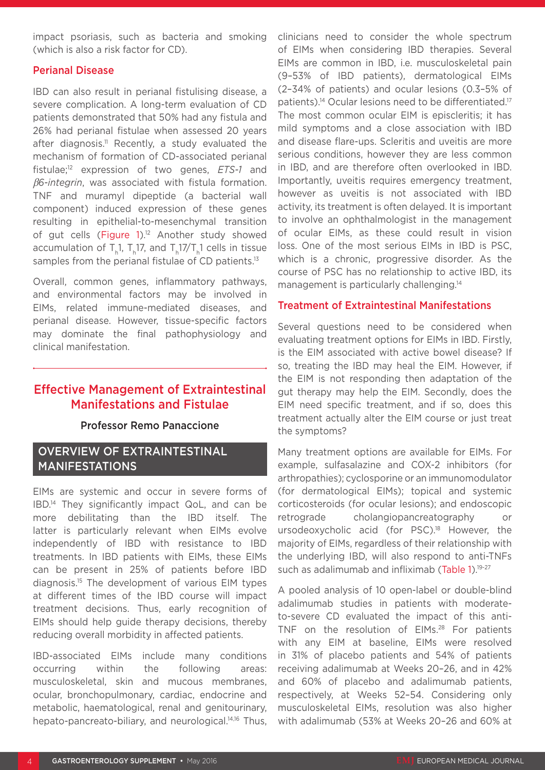impact psoriasis, such as bacteria and smoking (which is also a risk factor for CD).

#### Perianal Disease

IBD can also result in perianal fistulising disease, a severe complication. A long-term evaluation of CD patients demonstrated that 50% had any fistula and 26% had perianal fistulae when assessed 20 years after diagnosis.<sup>11</sup> Recently, a study evaluated the mechanism of formation of CD-associated perianal fistulae;12 expression of two genes, *ETS-1* and β*6-integrin*, was associated with fistula formation. TNF and muramyl dipeptide (a bacterial wall component) induced expression of these genes resulting in epithelial-to-mesenchymal transition of gut cells (Figure 1).<sup>12</sup> Another study showed accumulation of T.1, T.17, and T.17/T.1 cells in tissue samples from the perianal fistulae of CD patients.<sup>13</sup>

Overall, common genes, inflammatory pathways, and environmental factors may be involved in EIMs, related immune-mediated diseases, and perianal disease. However, tissue-specific factors may dominate the final pathophysiology and clinical manifestation.

### Effective Management of Extraintestinal Manifestations and Fistulae

#### Professor Remo Panaccione

### OVERVIEW OF EXTRAINTESTINAL MANIFESTATIONS

EIMs are systemic and occur in severe forms of IBD.14 They significantly impact QoL, and can be more debilitating than the IBD itself. The latter is particularly relevant when EIMs evolve independently of IBD with resistance to IBD treatments. In IBD patients with EIMs, these EIMs can be present in 25% of patients before IBD diagnosis.15 The development of various EIM types at different times of the IBD course will impact treatment decisions. Thus, early recognition of EIMs should help guide therapy decisions, thereby reducing overall morbidity in affected patients.

IBD-associated EIMs include many conditions occurring within the following areas: musculoskeletal, skin and mucous membranes, ocular, bronchopulmonary, cardiac, endocrine and metabolic, haematological, renal and genitourinary, hepato-pancreato-biliary, and neurological.<sup>14,16</sup> Thus,

clinicians need to consider the whole spectrum of EIMs when considering IBD therapies. Several EIMs are common in IBD, i.e. musculoskeletal pain (9–53% of IBD patients), dermatological EIMs (2–34% of patients) and ocular lesions (0.3–5% of patients).<sup>14</sup> Ocular lesions need to be differentiated.<sup>17</sup> The most common ocular EIM is episcleritis; it has mild symptoms and a close association with IBD and disease flare-ups. Scleritis and uveitis are more serious conditions, however they are less common in IBD, and are therefore often overlooked in IBD. Importantly, uveitis requires emergency treatment, however as uveitis is not associated with IBD activity, its treatment is often delayed. It is important to involve an ophthalmologist in the management of ocular EIMs, as these could result in vision loss. One of the most serious EIMs in IBD is PSC, which is a chronic, progressive disorder. As the course of PSC has no relationship to active IBD, its management is particularly challenging.14

#### Treatment of Extraintestinal Manifestations

Several questions need to be considered when evaluating treatment options for EIMs in IBD. Firstly, is the EIM associated with active bowel disease? If so, treating the IBD may heal the EIM. However, if the EIM is not responding then adaptation of the gut therapy may help the EIM. Secondly, does the EIM need specific treatment, and if so, does this treatment actually alter the EIM course or just treat the symptoms?

Many treatment options are available for EIMs. For example, sulfasalazine and COX-2 inhibitors (for arthropathies); cyclosporine or an immunomodulator (for dermatological EIMs); topical and systemic corticosteroids (for ocular lesions); and endoscopic retrograde cholangiopancreatography or ursodeoxycholic acid (for PSC).<sup>18</sup> However, the majority of EIMs, regardless of their relationship with the underlying IBD, will also respond to anti-TNFs such as adalimumab and infliximab (Table 1).<sup>19-27</sup>

A pooled analysis of 10 open-label or double-blind adalimumab studies in patients with moderateto-severe CD evaluated the impact of this anti-TNF on the resolution of EIMs.<sup>28</sup> For patients with any EIM at baseline, EIMs were resolved in 31% of placebo patients and 54% of patients receiving adalimumab at Weeks 20–26, and in 42% and 60% of placebo and adalimumab patients, respectively, at Weeks 52–54. Considering only musculoskeletal EIMs, resolution was also higher with adalimumab (53% at Weeks 20–26 and 60% at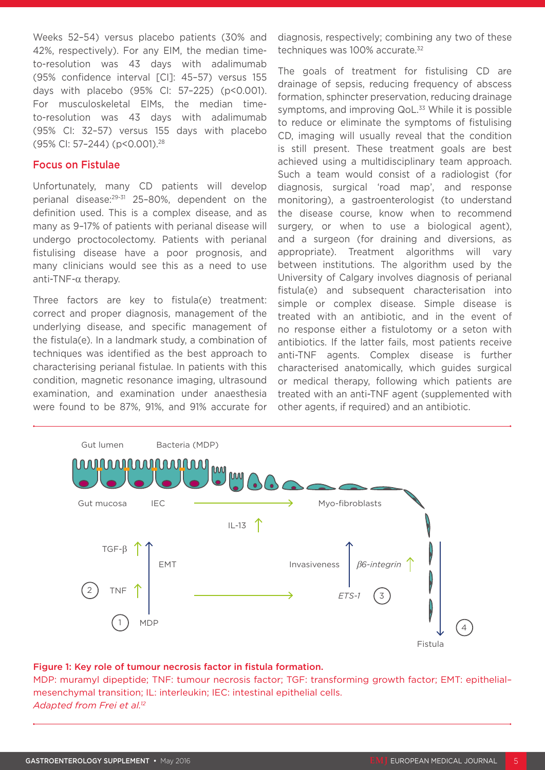Weeks 52–54) versus placebo patients (30% and 42%, respectively). For any EIM, the median timeto-resolution was 43 days with adalimumab (95% confidence interval [CI]: 45–57) versus 155 days with placebo (95% CI: 57–225) (p<0.001). For musculoskeletal EIMs, the median timeto-resolution was 43 days with adalimumab (95% CI: 32–57) versus 155 days with placebo (95% CI: 57–244) (p<0.001).28

#### Focus on Fistulae

Unfortunately, many CD patients will develop perianal disease:29-31 25–80%, dependent on the definition used. This is a complex disease, and as many as 9–17% of patients with perianal disease will undergo proctocolectomy. Patients with perianal fistulising disease have a poor prognosis, and many clinicians would see this as a need to use anti-TNF-α therapy.

Three factors are key to fistula(e) treatment: correct and proper diagnosis, management of the underlying disease, and specific management of the fistula(e). In a landmark study, a combination of techniques was identified as the best approach to characterising perianal fistulae. In patients with this condition, magnetic resonance imaging, ultrasound examination, and examination under anaesthesia were found to be 87%, 91%, and 91% accurate for diagnosis, respectively; combining any two of these techniques was 100% accurate.<sup>32</sup>

The goals of treatment for fistulising CD are drainage of sepsis, reducing frequency of abscess formation, sphincter preservation, reducing drainage symptoms, and improving QoL.<sup>33</sup> While it is possible to reduce or eliminate the symptoms of fistulising CD, imaging will usually reveal that the condition is still present. These treatment goals are best achieved using a multidisciplinary team approach. Such a team would consist of a radiologist (for diagnosis, surgical 'road map', and response monitoring), a gastroenterologist (to understand the disease course, know when to recommend surgery, or when to use a biological agent), and a surgeon (for draining and diversions, as appropriate). Treatment algorithms will vary between institutions. The algorithm used by the University of Calgary involves diagnosis of perianal fistula(e) and subsequent characterisation into simple or complex disease. Simple disease is treated with an antibiotic, and in the event of no response either a fistulotomy or a seton with antibiotics. If the latter fails, most patients receive anti-TNF agents. Complex disease is further characterised anatomically, which guides surgical or medical therapy, following which patients are treated with an anti-TNF agent (supplemented with other agents, if required) and an antibiotic.



#### Figure 1: Key role of tumour necrosis factor in fistula formation.

MDP: muramyl dipeptide; TNF: tumour necrosis factor; TGF: transforming growth factor; EMT: epithelial– mesenchymal transition; IL: interleukin; IEC: intestinal epithelial cells. *Adapted from Frei et al.12*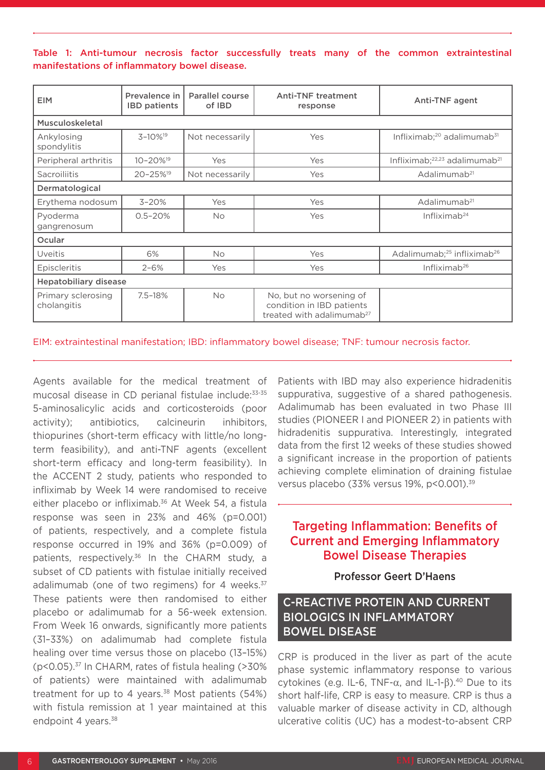#### Table 1: Anti-tumour necrosis factor successfully treats many of the common extraintestinal manifestations of inflammatory bowel disease.

| <b>EIM</b>                        | Prevalence in<br><b>IBD</b> patients | Parallel course<br>of IBD | <b>Anti-TNF treatment</b><br>response                                                         | Anti-TNF agent                                        |
|-----------------------------------|--------------------------------------|---------------------------|-----------------------------------------------------------------------------------------------|-------------------------------------------------------|
| Musculoskeletal                   |                                      |                           |                                                                                               |                                                       |
| Ankylosing<br>spondylitis         | $3 - 10\%$ <sup>19</sup>             | Not necessarily           | Yes                                                                                           | Infliximab; <sup>20</sup> adalimumab <sup>31</sup>    |
| Peripheral arthritis              | $10 - 20\%$ <sup>19</sup>            | Yes                       | Yes                                                                                           | Infliximab; <sup>22,23</sup> adalimumab <sup>21</sup> |
| Sacroiliitis                      | 20-25% <sup>19</sup>                 | Not necessarily           | Yes                                                                                           | Adalimumab <sup>21</sup>                              |
| Dermatological                    |                                      |                           |                                                                                               |                                                       |
| Erythema nodosum                  | $3 - 20%$                            | Yes                       | Yes                                                                                           | Adalimumab <sup>21</sup>                              |
| Pyoderma<br>gangrenosum           | $0.5 - 20%$                          | <b>No</b>                 | Yes                                                                                           | Infliximab <sup>24</sup>                              |
| Ocular                            |                                      |                           |                                                                                               |                                                       |
| <b>Uveitis</b>                    | 6%                                   | <b>No</b>                 | Yes                                                                                           | Adalimumab; <sup>25</sup> infliximab <sup>26</sup>    |
| Episcleritis                      | $2 - 6%$                             | Yes                       | Yes                                                                                           | Infliximab $26$                                       |
| <b>Hepatobiliary disease</b>      |                                      |                           |                                                                                               |                                                       |
| Primary sclerosing<br>cholangitis | $7.5 - 18%$                          | <b>No</b>                 | No, but no worsening of<br>condition in IBD patients<br>treated with adalimumab <sup>27</sup> |                                                       |

EIM: extraintestinal manifestation; IBD: inflammatory bowel disease; TNF: tumour necrosis factor.

Agents available for the medical treatment of mucosal disease in CD perianal fistulae include:33-35 5-aminosalicylic acids and corticosteroids (poor activity); antibiotics, calcineurin inhibitors, thiopurines (short-term efficacy with little/no longterm feasibility), and anti-TNF agents (excellent short-term efficacy and long-term feasibility). In the ACCENT 2 study, patients who responded to infliximab by Week 14 were randomised to receive either placebo or infliximab.<sup>36</sup> At Week 54, a fistula response was seen in 23% and 46% (p=0.001) of patients, respectively, and a complete fistula response occurred in 19% and 36% (p=0.009) of patients, respectively.<sup>36</sup> In the CHARM study, a subset of CD patients with fistulae initially received adalimumab (one of two regimens) for 4 weeks. $37$ These patients were then randomised to either placebo or adalimumab for a 56-week extension. From Week 16 onwards, significantly more patients (31–33%) on adalimumab had complete fistula healing over time versus those on placebo (13–15%) (p<0.05).37 In CHARM, rates of fistula healing (>30% of patients) were maintained with adalimumab treatment for up to 4 years. $38$  Most patients (54%) with fistula remission at 1 year maintained at this endpoint 4 years.<sup>38</sup>

Patients with IBD may also experience hidradenitis suppurativa, suggestive of a shared pathogenesis. Adalimumab has been evaluated in two Phase III studies (PIONEER I and PIONEER 2) in patients with hidradenitis suppurativa. Interestingly, integrated data from the first 12 weeks of these studies showed a significant increase in the proportion of patients achieving complete elimination of draining fistulae versus placebo (33% versus 19%, p<0.001).<sup>39</sup>

## Targeting Inflammation: Benefits of Current and Emerging Inflammatory Bowel Disease Therapies

### Professor Geert D'Haens

### C-REACTIVE PROTEIN AND CURRENT BIOLOGICS IN INFLAMMATORY BOWEL DISEASE

CRP is produced in the liver as part of the acute phase systemic inflammatory response to various cytokines (e.g. IL-6, TNF- $\alpha$ , and IL-1- $\beta$ ).<sup>40</sup> Due to its short half-life, CRP is easy to measure. CRP is thus a valuable marker of disease activity in CD, although ulcerative colitis (UC) has a modest-to-absent CRP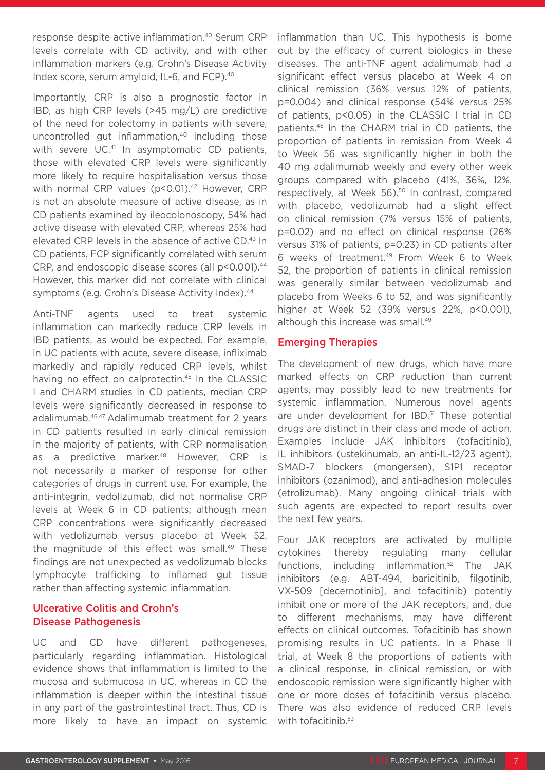response despite active inflammation.40 Serum CRP levels correlate with CD activity, and with other inflammation markers (e.g. Crohn's Disease Activity Index score, serum amyloid, IL-6, and FCP).40

Importantly, CRP is also a prognostic factor in IBD, as high CRP levels (>45 mg/L) are predictive of the need for colectomy in patients with severe, uncontrolled gut inflammation,<sup>40</sup> including those with severe UC.<sup>41</sup> In asymptomatic CD patients, those with elevated CRP levels were significantly more likely to require hospitalisation versus those with normal CRP values (p<0.01).<sup>42</sup> However, CRP is not an absolute measure of active disease, as in CD patients examined by ileocolonoscopy, 54% had active disease with elevated CRP, whereas 25% had elevated CRP levels in the absence of active CD.43 In CD patients, FCP significantly correlated with serum CRP, and endoscopic disease scores (all p<0.001).<sup>44</sup> However, this marker did not correlate with clinical symptoms (e.g. Crohn's Disease Activity Index).<sup>44</sup>

Anti-TNF agents used to treat systemic inflammation can markedly reduce CRP levels in IBD patients, as would be expected. For example, in UC patients with acute, severe disease, infliximab markedly and rapidly reduced CRP levels, whilst having no effect on calprotectin.<sup>45</sup> In the CLASSIC I and CHARM studies in CD patients, median CRP levels were significantly decreased in response to adalimumab.46,47 Adalimumab treatment for 2 years in CD patients resulted in early clinical remission in the majority of patients, with CRP normalisation as a predictive marker.<sup>48</sup> However, CRP is not necessarily a marker of response for other categories of drugs in current use. For example, the anti-integrin, vedolizumab, did not normalise CRP levels at Week 6 in CD patients; although mean CRP concentrations were significantly decreased with vedolizumab versus placebo at Week 52, the magnitude of this effect was small.<sup>49</sup> These findings are not unexpected as vedolizumab blocks lymphocyte trafficking to inflamed gut tissue rather than affecting systemic inflammation.

#### Ulcerative Colitis and Crohn's Disease Pathogenesis

UC and CD have different pathogeneses, particularly regarding inflammation. Histological evidence shows that inflammation is limited to the mucosa and submucosa in UC, whereas in CD the inflammation is deeper within the intestinal tissue in any part of the gastrointestinal tract. Thus, CD is more likely to have an impact on systemic inflammation than UC. This hypothesis is borne out by the efficacy of current biologics in these diseases. The anti-TNF agent adalimumab had a significant effect versus placebo at Week 4 on clinical remission (36% versus 12% of patients, p=0.004) and clinical response (54% versus 25% of patients, p<0.05) in the CLASSIC I trial in CD patients.46 In the CHARM trial in CD patients, the proportion of patients in remission from Week 4 to Week 56 was significantly higher in both the 40 mg adalimumab weekly and every other week groups compared with placebo (41%, 36%, 12%, respectively, at Week 56).<sup>50</sup> In contrast, compared with placebo, vedolizumab had a slight effect on clinical remission (7% versus 15% of patients, p=0.02) and no effect on clinical response (26% versus 31% of patients, p=0.23) in CD patients after 6 weeks of treatment.49 From Week 6 to Week 52, the proportion of patients in clinical remission was generally similar between vedolizumab and placebo from Weeks 6 to 52, and was significantly higher at Week 52 (39% versus 22%, p<0.001), although this increase was small.<sup>49</sup>

#### Emerging Therapies

The development of new drugs, which have more marked effects on CRP reduction than current agents, may possibly lead to new treatments for systemic inflammation. Numerous novel agents are under development for IBD.<sup>51</sup> These potential drugs are distinct in their class and mode of action. Examples include JAK inhibitors (tofacitinib), IL inhibitors (ustekinumab, an anti-IL-12/23 agent), SMAD-7 blockers (mongersen), S1P1 receptor inhibitors (ozanimod), and anti-adhesion molecules (etrolizumab). Many ongoing clinical trials with such agents are expected to report results over the next few years.

Four JAK receptors are activated by multiple cytokines thereby regulating many cellular functions, including inflammation.<sup>52</sup> The JAK inhibitors (e.g. ABT-494, baricitinib, filgotinib, VX-509 [decernotinib], and tofacitinib) potently inhibit one or more of the JAK receptors, and, due to different mechanisms, may have different effects on clinical outcomes. Tofacitinib has shown promising results in UC patients. In a Phase II trial, at Week 8 the proportions of patients with a clinical response, in clinical remission, or with endoscopic remission were significantly higher with one or more doses of tofacitinib versus placebo. There was also evidence of reduced CRP levels with tofacitinib.<sup>53</sup>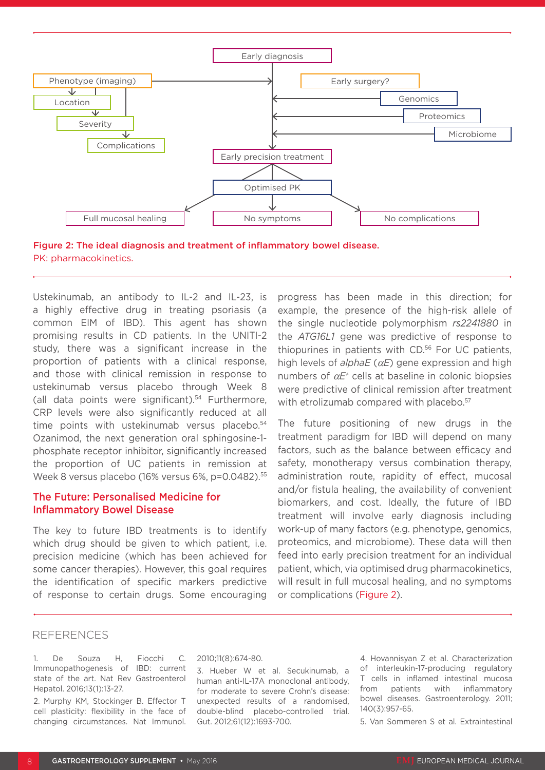



Ustekinumab, an antibody to IL-2 and IL-23, is a highly effective drug in treating psoriasis (a common EIM of IBD). This agent has shown promising results in CD patients. In the UNITI-2 study, there was a significant increase in the proportion of patients with a clinical response, and those with clinical remission in response to ustekinumab versus placebo through Week 8 (all data points were significant). $54$  Furthermore, CRP levels were also significantly reduced at all time points with ustekinumab versus placebo.<sup>54</sup> Ozanimod, the next generation oral sphingosine-1 phosphate receptor inhibitor, significantly increased the proportion of UC patients in remission at Week 8 versus placebo (16% versus 6%, p=0.0482).55

#### The Future: Personalised Medicine for Inflammatory Bowel Disease

The key to future IBD treatments is to identify which drug should be given to which patient, i.e. precision medicine (which has been achieved for some cancer therapies). However, this goal requires the identification of specific markers predictive of response to certain drugs. Some encouraging

progress has been made in this direction; for example, the presence of the high-risk allele of the single nucleotide polymorphism *rs2241880* in the *ATG16L1* gene was predictive of response to thiopurines in patients with CD.56 For UC patients, high levels of *alphaE* (α*E*) gene expression and high numbers of α*E+* cells at baseline in colonic biopsies were predictive of clinical remission after treatment with etrolizumab compared with placebo.<sup>57</sup>

The future positioning of new drugs in the treatment paradigm for IBD will depend on many factors, such as the balance between efficacy and safety, monotherapy versus combination therapy, administration route, rapidity of effect, mucosal and/or fistula healing, the availability of convenient biomarkers, and cost. Ideally, the future of IBD treatment will involve early diagnosis including work-up of many factors (e.g. phenotype, genomics, proteomics, and microbiome). These data will then feed into early precision treatment for an individual patient, which, via optimised drug pharmacokinetics, will result in full mucosal healing, and no symptoms or complications (Figure 2).

#### REFERENCES

1. De Souza H, Fiocchi C. Immunopathogenesis of IBD: current state of the art. Nat Rev Gastroenterol Hepatol. 2016;13(1):13-27.

2. Murphy KM, Stockinger B. Effector T cell plasticity: flexibility in the face of changing circumstances. Nat Immunol.

#### 2010;11(8):674-80.

3. Hueber W et al. Secukinumab, a human anti-IL-17A monoclonal antibody, for moderate to severe Crohn's disease: unexpected results of a randomised, double-blind placebo-controlled trial. Gut. 2012;61(12):1693-700.

4. Hovannisyan Z et al. Characterization of interleukin-17-producing regulatory T cells in inflamed intestinal mucosa from patients with inflammatory bowel diseases. Gastroenterology. 2011; 140(3):957-65.

5. Van Sommeren S et al. Extraintestinal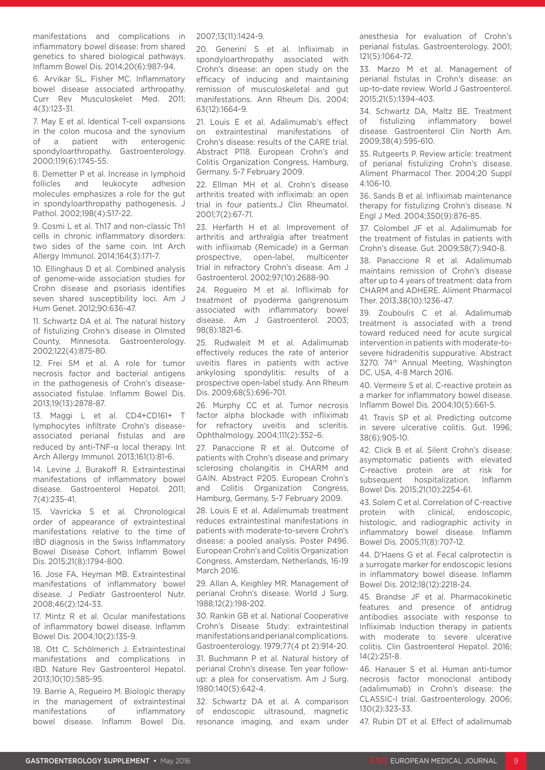manifestations and complications in inflammatory bowel disease: from shared genetics to shared biological pathways. Inflamm Bowel Dis. 2014;20(6):987-94.

6. Arvikar SL, Fisher MC. Inflammatory bowel disease associated arthropathy. Curr Rev Musculoskelet Med. 2011; 4(3):123-31.

7. May E et al. Identical T-cell expansions in the colon mucosa and the synovium of a patient with enterogenic spondyloarthropathy. Gastroenterology. 2000;119(6):1745-55.

8. Demetter P et al. Increase in lymphoid follicles and leukocyte adhesion molecules emphasizes a role for the gut in spondyloarthropathy pathogenesis. J Pathol. 2002;198(4):517-22.

9. Cosmi L et al. Th17 and non-classic Th1 cells in chronic inflammatory disorders: two sides of the same coin. Int Arch Allergy Immunol. 2014;164(3):171-7.

10. Ellinghaus D et al. Combined analysis of genome-wide association studies for Crohn disease and psoriasis identifies seven shared susceptibility loci. Am J Hum Genet. 2012;90:636-47.

11. Schwartz DA et al. The natural history of fistulizing Crohn's disease in Olmsted County, Minnesota. Gastroenterology. 2002;122(4):875-80.

12. Frei SM et al. A role for tumor necrosis factor and bacterial antigens in the pathogenesis of Crohn's diseaseassociated fistulae. Inflamm Bowel Dis. 2013;19(13):2878-87.

13. Maggi L et al. CD4+CD161+ T lymphocytes infiltrate Crohn's diseaseassociated perianal fistulas and are reduced by anti-TNF-α local therapy. Int Arch Allergy Immunol. 2013;161(1):81-6.

14. Levine J, Burakoff R. Extraintestinal manifestations of inflammatory bowel disease. Gastroenterol Hepatol. 2011; 7(4):235-41.

15. Vavricka S et al. Chronological order of appearance of extraintestinal manifestations relative to the time of IBD diagnosis in the Swiss Inflammatory Bowel Disease Cohort. Inflamm Bowel Dis. 2015;21(8):1794-800.

16. Jose FA, Heyman MB. Extraintestinal manifestations of inflammatory bowel disease. J Pediatr Gastroenterol Nutr. 2008;46(2):124-33.

17. Mintz R et al. Ocular manifestations of inflammatory bowel disease. Inflamm Bowel Dis. 2004;10(2):135-9.

18. Ott C, Schölmerich J. Extraintestinal manifestations and complications in IBD. Nature Rev Gastroenterol Hepatol. 2013;10(10):585-95.

19. Barrie A, Regueiro M. Biologic therapy in the management of extraintestinal manifestations of inflammatory bowel disease. Inflamm Bowel Dis.

2007;13(11):1424-9.

20. Generini S et al. Infliximab in spondyloarthropathy associated with Crohn's disease: an open study on the efficacy of inducing and maintaining remission of musculoskeletal and gut manifestations. Ann Rheum Dis. 2004; 63(12):1664-9.

21. Louis E et al. Adalimumab's effect on extraintestinal manifestations of Crohn's disease: results of the CARE trial. Abstract P118. European Crohn's and Colitis Organization Congress, Hamburg, Germany. 5-7 February 2009.

22. Ellman MH et al. Crohn's disease arthritis treated with infliximab: an open trial in four patients.J Clin Rheumatol. 2001;7(2):67-71.

23. Herfarth H et al. Improvement of arthritis and arthralgia after treatment with infliximab (Remicade) in a German prospective, open-label, multicenter trial in refractory Crohn's disease. Am J Gastroenterol. 2002;97(10):2688-90.

24. Regueiro M et al. Infliximab for treatment of pyoderma gangrenosum associated with inflammatory bowel disease. Am J Gastroenterol. 2003; 98(8):1821-6.

25. Rudwaleit M et al. Adalimumab effectively reduces the rate of anterior uveitis flares in patients with active ankylosing spondylitis: results of a prospective open-label study. Ann Rheum Dis. 2009;68(5):696-701.

26. Murphy CC et al. Tumor necrosis factor alpha blockade with infliximab for refractory uveitis and scleritis. Ophthalmology. 2004;111(2):352–6.

27. Panaccione R et al. Outcome of patients with Crohn's disease and primary sclerosing cholangitis in CHARM and GAIN. Abstract P205. European Crohn's and Colitis Organization Congress, Hamburg, Germany, 5-7 February 2009.

28. Louis E et al. Adalimumab treatment reduces extraintestinal manifestations in patients with moderate-to-severe Crohn's disease: a pooled analysis. Poster P496. European Crohn's and Colitis Organization Congress, Amsterdam, Netherlands, 16-19 March 2016.

29. Allan A, Keighley MR. Management of perianal Crohn's disease. World J Surg. 1988;12(2):198-202.

30. Rankin GB et al. National Cooperative Crohn's Disease Study: extraintestinal manifestations and perianal complications. Gastroenterology. 1979;77(4 pt 2):914-20.

31. Buchmann P et al. Natural history of perianal Crohn's disease. Ten year followup: a plea for conservatism. Am J Surg. 1980;140(5):642-4.

32. Schwartz DA et al. A comparison of endoscopic ultrasound, magnetic resonance imaging, and exam under

anesthesia for evaluation of Crohn's perianal fistulas. Gastroenterology. 2001; 121(5):1064-72.

33. Marzo M et al. Management of perianal fistulas in Crohn's disease: an up-to-date review. World J Gastroenterol. 2015;21(5):1394-403.

34. Schwartz DA, Maltz BE. Treatment of fistulizing inflammatory bowel disease. Gastroenterol Clin North Am. 2009;38(4):595-610.

35. Rutgeerts P. Review article: treatment of perianal fistulizing Crohn's disease. Aliment Pharmacol Ther. 2004;20 Suppl 4:106-10.

36. Sands B et al. Infliximab maintenance therapy for fistulizing Crohn's disease. N Engl J Med. 2004;350(9):876-85.

37. Colombel JF et al. Adalimumab for the treatment of fistulas in patients with Crohn's disease. Gut. 2009;58(7):940-8.

38. Panaccione R et al. Adalimumab maintains remission of Crohn's disease after up to 4 years of treatment: data from CHARM and ADHERE. Aliment Pharmacol Ther. 2013;38(10):1236-47.

39. Zouboulis C et al. Adalimumab treatment is associated with a trend toward reduced need for acute surgical intervention in patients with moderate-tosevere hidradenitis suppurative. Abstract 3270. 74<sup>th</sup> Annual Meeting, Washington DC, USA, 4-8 March 2016.

40. Vermeire S et al. C-reactive protein as a marker for inflammatory bowel disease. Inflamm Bowel Dis. 2004;10(5):661-5.

41. Travis SP et al. Predicting outcome in severe ulcerative colitis. Gut. 1996; 38(6):905-10.

42. Click B et al. Silent Crohn's disease: asymptomatic patients with elevated C-reactive protein are at risk for subsequent hospitalization. Inflamm Bowel Dis. 2015;21(10):2254-61.

43. Solem C et al. Correlation of C-reactive protein with clinical, endoscopic, histologic, and radiographic activity in inflammatory bowel disease. Inflamm Bowel Dis. 2005;11(8):707-12.

44. D'Haens G et al. Fecal calprotectin is a surrogate marker for endoscopic lesions in inflammatory bowel disease. Inflamm Bowel Dis. 2012;18(12):2218-24.

45. Brandse JF et al. Pharmacokinetic features and presence of antidrug antibodies associate with response to Infliximab Induction therapy in patients with moderate to severe ulcerative colitis. Clin Gastroenterol Hepatol. 2016; 14(2):251-8.

46. Hanauer S et al. Human anti-tumor necrosis factor monoclonal antibody (adalimumab) in Crohn's disease: the CLASSIC-I trial. Gastroenterology. 2006; 130(2):323-33.

47. Rubin DT et al. Effect of adalimumab